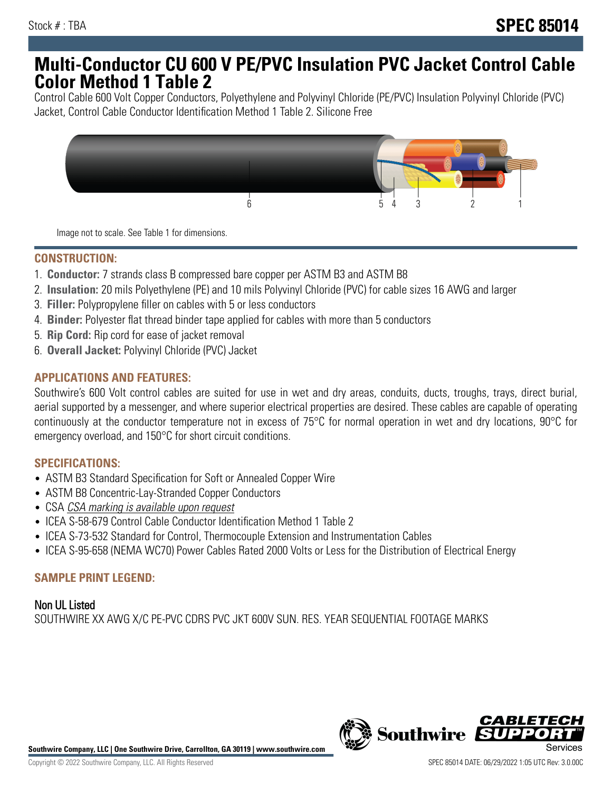# **Multi-Conductor CU 600 V PE/PVC Insulation PVC Jacket Control Cable Color Method 1 Table 2**

Control Cable 600 Volt Copper Conductors, Polyethylene and Polyvinyl Chloride (PE/PVC) Insulation Polyvinyl Chloride (PVC) Jacket, Control Cable Conductor Identification Method 1 Table 2. Silicone Free



Image not to scale. See Table 1 for dimensions.

#### **CONSTRUCTION:**

- 1. **Conductor:** 7 strands class B compressed bare copper per ASTM B3 and ASTM B8
- 2. **Insulation:** 20 mils Polyethylene (PE) and 10 mils Polyvinyl Chloride (PVC) for cable sizes 16 AWG and larger
- 3. **Filler:** Polypropylene filler on cables with 5 or less conductors
- 4. **Binder:** Polyester flat thread binder tape applied for cables with more than 5 conductors
- 5. **Rip Cord:** Rip cord for ease of jacket removal
- 6. **Overall Jacket:** Polyvinyl Chloride (PVC) Jacket

## **APPLICATIONS AND FEATURES:**

Southwire's 600 Volt control cables are suited for use in wet and dry areas, conduits, ducts, troughs, trays, direct burial, aerial supported by a messenger, and where superior electrical properties are desired. These cables are capable of operating continuously at the conductor temperature not in excess of 75°C for normal operation in wet and dry locations, 90°C for emergency overload, and 150°C for short circuit conditions.

#### **SPECIFICATIONS:**

- ASTM B3 Standard Specification for Soft or Annealed Copper Wire
- ASTM B8 Concentric-Lay-Stranded Copper Conductors
- CSA CSA marking is available upon request
- ICEA S-58-679 Control Cable Conductor Identification Method 1 Table 2
- ICEA S-73-532 Standard for Control, Thermocouple Extension and Instrumentation Cables
- ICEA S-95-658 (NEMA WC70) Power Cables Rated 2000 Volts or Less for the Distribution of Electrical Energy

#### **SAMPLE PRINT LEGEND:**

Non UL Listed SOUTHWIRE XX AWG X/C PE-PVC CDRS PVC JKT 600V SUN. RES. YEAR SEQUENTIAL FOOTAGE MARKS



**Southwire Company, LLC | One Southwire Drive, Carrollton, GA 30119 | www.southwire.com**